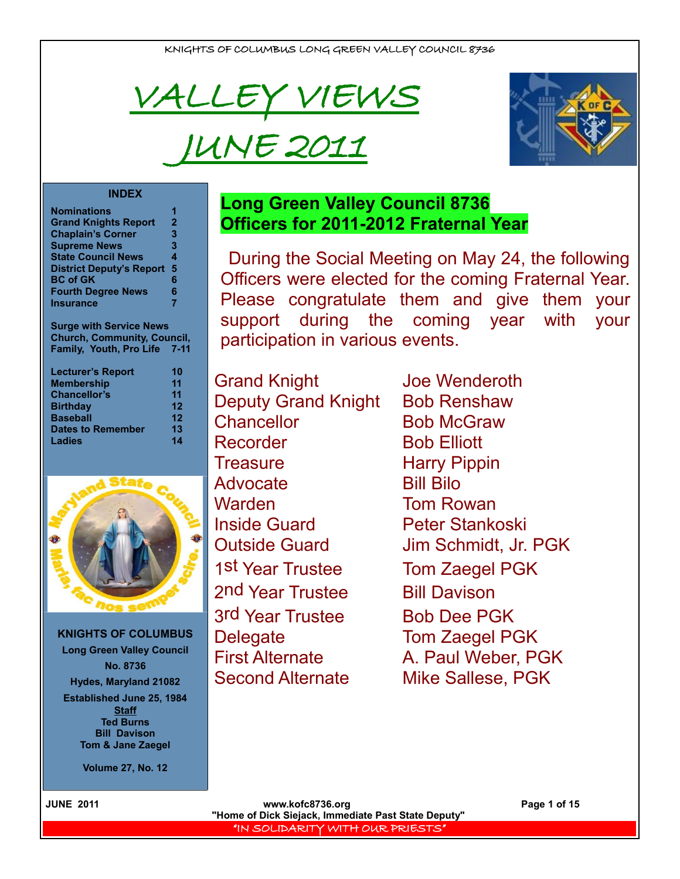

# JUNE 2011



### **INDEX**

| <b>Nominations</b>              |              |
|---------------------------------|--------------|
| <b>Grand Knights Report</b>     | $\mathbf{2}$ |
| <b>Chaplain's Corner</b>        | 3            |
| <b>Supreme News</b>             | 3            |
| <b>State Council News</b>       | 4            |
| <b>District Deputy's Report</b> | 5            |
| <b>BC of GK</b>                 | 6            |
| <b>Fourth Degree News</b>       | 6            |
| <b>Insurance</b>                | 7            |

**Surge with Service News Church, Community, Council, Family, Youth, Pro Life 7-11**

| 10      |
|---------|
| 11      |
| 11      |
| $12 \,$ |
| $12 \,$ |
| 13      |
| 14      |
|         |



**KNIGHTS OF COLUMBUS Long Green Valley Council No. 8736 Hydes, Maryland 21082 Established June 25, 1984 Staff Ted Burns Bill Davison Tom & Jane Zaegel**

**Volume 27, No. 12**

# **Long Green Valley Council 8736 Officers for 2011-2012 Fraternal Year**

During the Social Meeting on May 24, the following Officers were elected for the coming Fraternal Year. Please congratulate them and give them your support during the coming year with your participation in various events.

Grand Knight Joe Wenderoth Deputy Grand Knight Bob Renshaw Chancellor Bob McGraw Recorder Bob Elliott Treasure **Harry Pippin** Advocate Bill Bilo Warden **Tom Rowan** Inside Guard Peter Stankoski 1st Year Trustee Tom Zaegel PGK 2nd Year Trustee Bill Davison 3rd Year Trustee Bob Dee PGK Delegate Tom Zaegel PGK Second Alternate Mike Sallese, PGK

Outside Guard Jim Schmidt, Jr. PGK First Alternate A. Paul Weber, PGK

 **JUNE 2011 www.kofc8736.org Page 1 of 15 "Home of Dick Siejack, Immediate Past State Deputy"**  "IN SOLIDARITY WITH OUR PRIESTS"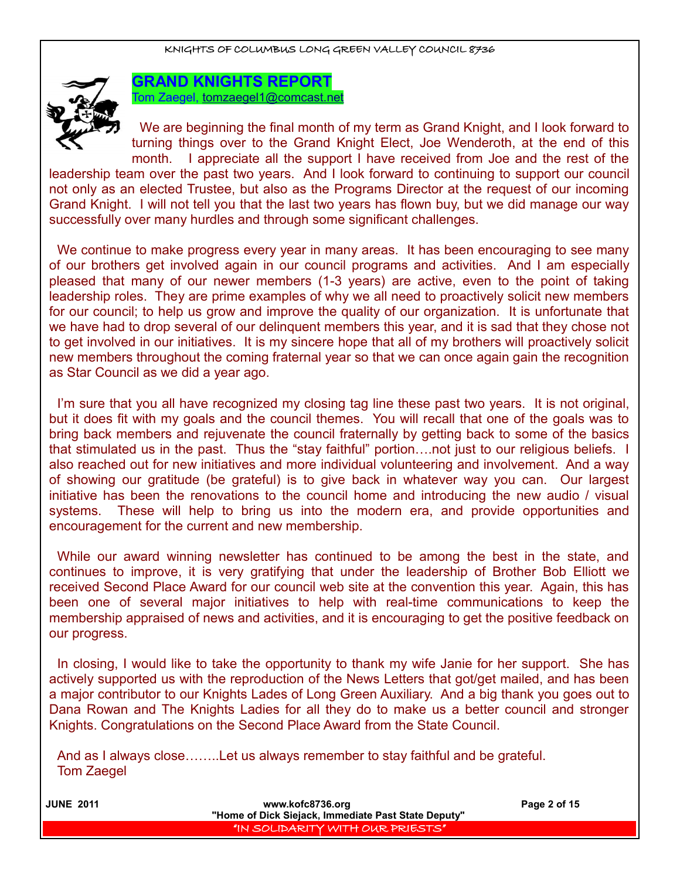

**GRAND KNIGHTS REPORT** Tom Zaegel, [tomzaegel1@comcast.net](mailto:tomzaegel1@comcast.net)

We are beginning the final month of my term as Grand Knight, and I look forward to turning things over to the Grand Knight Elect, Joe Wenderoth, at the end of this month. I appreciate all the support I have received from Joe and the rest of the

leadership team over the past two years. And I look forward to continuing to support our council not only as an elected Trustee, but also as the Programs Director at the request of our incoming Grand Knight. I will not tell you that the last two years has flown buy, but we did manage our way successfully over many hurdles and through some significant challenges.

We continue to make progress every year in many areas. It has been encouraging to see many of our brothers get involved again in our council programs and activities. And I am especially pleased that many of our newer members (1-3 years) are active, even to the point of taking leadership roles. They are prime examples of why we all need to proactively solicit new members for our council; to help us grow and improve the quality of our organization. It is unfortunate that we have had to drop several of our delinquent members this year, and it is sad that they chose not to get involved in our initiatives. It is my sincere hope that all of my brothers will proactively solicit new members throughout the coming fraternal year so that we can once again gain the recognition as Star Council as we did a year ago.

I'm sure that you all have recognized my closing tag line these past two years. It is not original, but it does fit with my goals and the council themes. You will recall that one of the goals was to bring back members and rejuvenate the council fraternally by getting back to some of the basics that stimulated us in the past. Thus the "stay faithful" portion….not just to our religious beliefs. I also reached out for new initiatives and more individual volunteering and involvement. And a way of showing our gratitude (be grateful) is to give back in whatever way you can. Our largest initiative has been the renovations to the council home and introducing the new audio / visual systems. These will help to bring us into the modern era, and provide opportunities and encouragement for the current and new membership.

While our award winning newsletter has continued to be among the best in the state, and continues to improve, it is very gratifying that under the leadership of Brother Bob Elliott we received Second Place Award for our council web site at the convention this year. Again, this has been one of several major initiatives to help with real-time communications to keep the membership appraised of news and activities, and it is encouraging to get the positive feedback on our progress.

In closing, I would like to take the opportunity to thank my wife Janie for her support. She has actively supported us with the reproduction of the News Letters that got/get mailed, and has been a major contributor to our Knights Lades of Long Green Auxiliary. And a big thank you goes out to Dana Rowan and The Knights Ladies for all they do to make us a better council and stronger Knights. Congratulations on the Second Place Award from the State Council.

And as I always close……..Let us always remember to stay faithful and be grateful. Tom Zaegel

| <b>JUNE 2011</b> | www.kofc8736.org                                    | Page 2 of 15 |
|------------------|-----------------------------------------------------|--------------|
|                  | "Home of Dick Siejack, Immediate Past State Deputy" |              |
|                  | "IN SOLIDARITY WITH OUR PRIESTS"                    |              |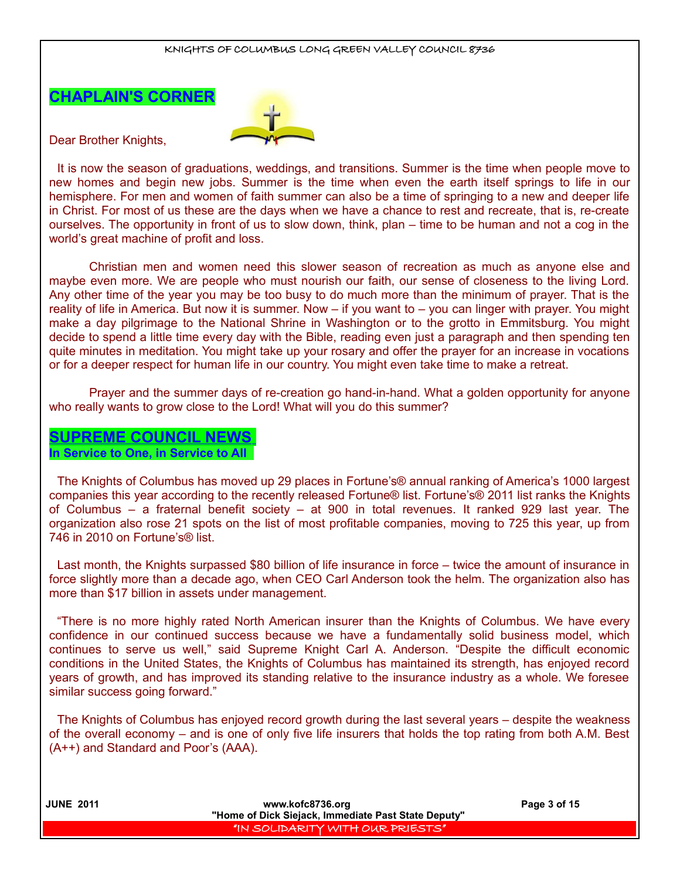



Dear Brother Knights,

It is now the season of graduations, weddings, and transitions. Summer is the time when people move to new homes and begin new jobs. Summer is the time when even the earth itself springs to life in our hemisphere. For men and women of faith summer can also be a time of springing to a new and deeper life in Christ. For most of us these are the days when we have a chance to rest and recreate, that is, re-create ourselves. The opportunity in front of us to slow down, think, plan – time to be human and not a cog in the world's great machine of profit and loss.

Christian men and women need this slower season of recreation as much as anyone else and maybe even more. We are people who must nourish our faith, our sense of closeness to the living Lord. Any other time of the year you may be too busy to do much more than the minimum of prayer. That is the reality of life in America. But now it is summer. Now – if you want to – you can linger with prayer. You might make a day pilgrimage to the National Shrine in Washington or to the grotto in Emmitsburg. You might decide to spend a little time every day with the Bible, reading even just a paragraph and then spending ten quite minutes in meditation. You might take up your rosary and offer the prayer for an increase in vocations or for a deeper respect for human life in our country. You might even take time to make a retreat.

Prayer and the summer days of re-creation go hand-in-hand. What a golden opportunity for anyone who really wants to grow close to the Lord! What will you do this summer?

# **SUPREME COUNCIL NEWS**

### **In Service to One, in Service to All**

The Knights of Columbus has moved up 29 places in Fortune's® annual ranking of America's 1000 largest companies this year according to the recently released Fortune® list. Fortune's® 2011 list ranks the Knights of Columbus – a fraternal benefit society – at 900 in total revenues. It ranked 929 last year. The organization also rose 21 spots on the list of most profitable companies, moving to 725 this year, up from 746 in 2010 on Fortune's® list.

Last month, the Knights surpassed \$80 billion of life insurance in force – twice the amount of insurance in force slightly more than a decade ago, when CEO Carl Anderson took the helm. The organization also has more than \$17 billion in assets under management.

"There is no more highly rated North American insurer than the Knights of Columbus. We have every confidence in our continued success because we have a fundamentally solid business model, which continues to serve us well," said Supreme Knight Carl A. Anderson. "Despite the difficult economic conditions in the United States, the Knights of Columbus has maintained its strength, has enjoyed record years of growth, and has improved its standing relative to the insurance industry as a whole. We foresee similar success going forward."

The Knights of Columbus has enjoyed record growth during the last several years – despite the weakness of the overall economy – and is one of only five life insurers that holds the top rating from both A.M. Best (A++) and Standard and Poor's (AAA).

| <b>JUNE 2011</b> | www.kofc8736.org                                    | Page 3 of 15 |
|------------------|-----------------------------------------------------|--------------|
|                  | "Home of Dick Siejack, Immediate Past State Deputy" |              |
|                  | IN SOLIDARITY WITH OUR PRIESTS"                     |              |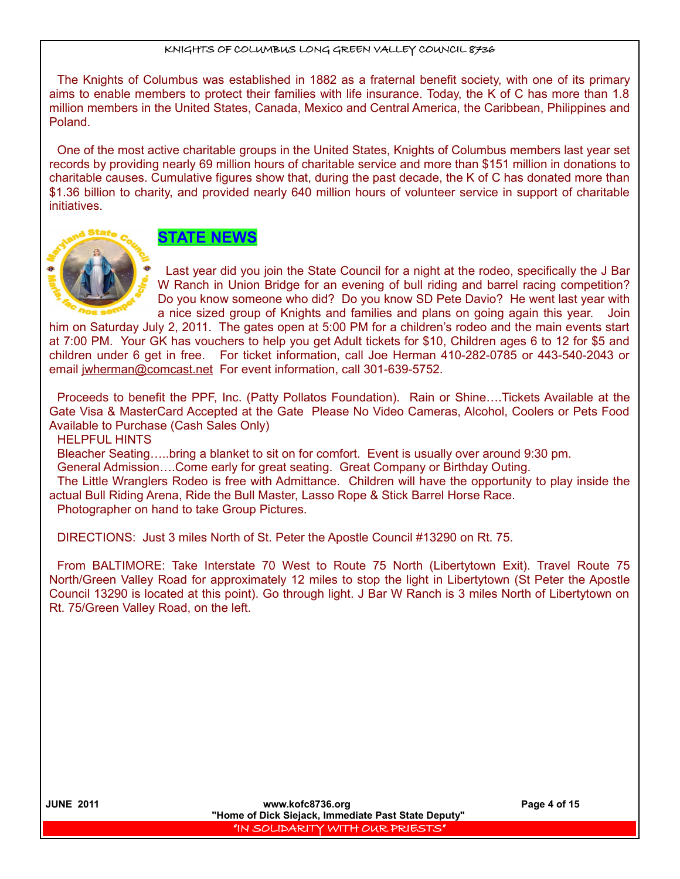The Knights of Columbus was established in 1882 as a fraternal benefit society, with one of its primary aims to enable members to protect their families with life insurance. Today, the K of C has more than 1.8 million members in the United States, Canada, Mexico and Central America, the Caribbean, Philippines and Poland.

One of the most active charitable groups in the United States, Knights of Columbus members last year set records by providing nearly 69 million hours of charitable service and more than \$151 million in donations to charitable causes. Cumulative figures show that, during the past decade, the K of C has donated more than \$1.36 billion to charity, and provided nearly 640 million hours of volunteer service in support of charitable initiatives.

**STATE NEWS**

Last year did you join the State Council for a night at the rodeo, specifically the J Bar W Ranch in Union Bridge for an evening of bull riding and barrel racing competition? Do you know someone who did? Do you know SD Pete Davio? He went last year with a nice sized group of Knights and families and plans on going again this year. Join

him on Saturday July 2, 2011. The gates open at 5:00 PM for a children's rodeo and the main events start at 7:00 PM. Your GK has vouchers to help you get Adult tickets for \$10, Children ages 6 to 12 for \$5 and children under 6 get in free. For ticket information, call Joe Herman 410-282-0785 or 443-540-2043 or email jwherman@comcast.net For event information, call 301-639-5752.

Proceeds to benefit the PPF, Inc. (Patty Pollatos Foundation). Rain or Shine….Tickets Available at the Gate Visa & MasterCard Accepted at the Gate Please No Video Cameras, Alcohol, Coolers or Pets Food Available to Purchase (Cash Sales Only)

HELPFUL HINTS

Bleacher Seating…..bring a blanket to sit on for comfort. Event is usually over around 9:30 pm.

General Admission….Come early for great seating. Great Company or Birthday Outing.

The Little Wranglers Rodeo is free with Admittance. Children will have the opportunity to play inside the actual Bull Riding Arena, Ride the Bull Master, Lasso Rope & Stick Barrel Horse Race.

Photographer on hand to take Group Pictures.

DIRECTIONS: Just 3 miles North of St. Peter the Apostle Council #13290 on Rt. 75.

From BALTIMORE: Take Interstate 70 West to Route 75 North (Libertytown Exit). Travel Route 75 North/Green Valley Road for approximately 12 miles to stop the light in Libertytown (St Peter the Apostle Council 13290 is located at this point). Go through light. J Bar W Ranch is 3 miles North of Libertytown on Rt. 75/Green Valley Road, on the left.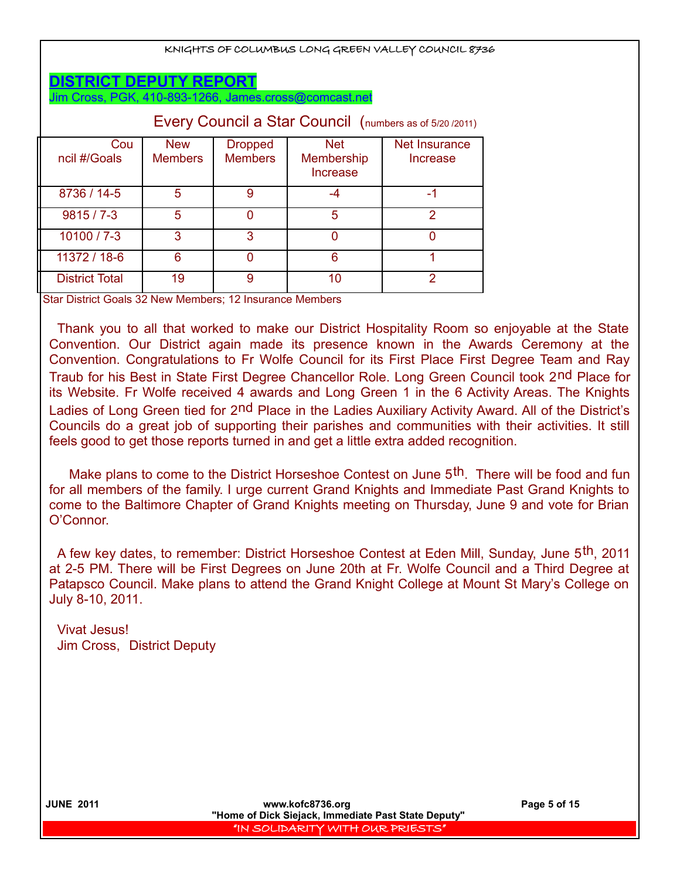| KNIGHTS OF COLUMBUS LONG GREEN VALLEY COUNCIL 8736                                     |                              |                                  |                                             |                           |  |  |
|----------------------------------------------------------------------------------------|------------------------------|----------------------------------|---------------------------------------------|---------------------------|--|--|
| <b>DISTRICT DEPUTY REPORT</b><br>Jim Cross, PGK, 410-893-1266, James.cross@comcast.net |                              |                                  |                                             |                           |  |  |
| Every Council a Star Council (numbers as of 5/20 /2011)                                |                              |                                  |                                             |                           |  |  |
| Cou<br>ncil #/Goals                                                                    | <b>New</b><br><b>Members</b> | <b>Dropped</b><br><b>Members</b> | <b>Net</b><br><b>Membership</b><br>Increase | Net Insurance<br>Increase |  |  |
| 8736 / 14-5                                                                            | 5                            | 9                                | $-4$                                        | -1                        |  |  |
| $9815/7 - 3$                                                                           | 5                            | 0                                | 5                                           | $\overline{2}$            |  |  |
| 10100 / 7-3                                                                            | 3                            | 3                                | $\Omega$                                    | $\Omega$                  |  |  |
| 11372 / 18-6                                                                           | 6                            | $\Omega$                         | 6                                           | 1                         |  |  |
| <b>District Total</b>                                                                  | 19                           | 9                                | 10                                          | 2                         |  |  |

Star District Goals 32 New Members; 12 Insurance Members

Thank you to all that worked to make our District Hospitality Room so enjoyable at the State Convention. Our District again made its presence known in the Awards Ceremony at the Convention. Congratulations to Fr Wolfe Council for its First Place First Degree Team and Ray Traub for his Best in State First Degree Chancellor Role. Long Green Council took 2nd Place for its Website. Fr Wolfe received 4 awards and Long Green 1 in the 6 Activity Areas. The Knights Ladies of Long Green tied for 2nd Place in the Ladies Auxiliary Activity Award. All of the District's Councils do a great job of supporting their parishes and communities with their activities. It still feels good to get those reports turned in and get a little extra added recognition.

Make plans to come to the District Horseshoe Contest on June 5<sup>th</sup>. There will be food and fun for all members of the family. I urge current Grand Knights and Immediate Past Grand Knights to come to the Baltimore Chapter of Grand Knights meeting on Thursday, June 9 and vote for Brian O'Connor.

A few key dates, to remember: District Horseshoe Contest at Eden Mill, Sunday, June 5th, 2011 at 2-5 PM. There will be First Degrees on June 20th at Fr. Wolfe Council and a Third Degree at Patapsco Council. Make plans to attend the Grand Knight College at Mount St Mary's College on July 8-10, 2011.

Vivat Jesus! Jim Cross, District Deputy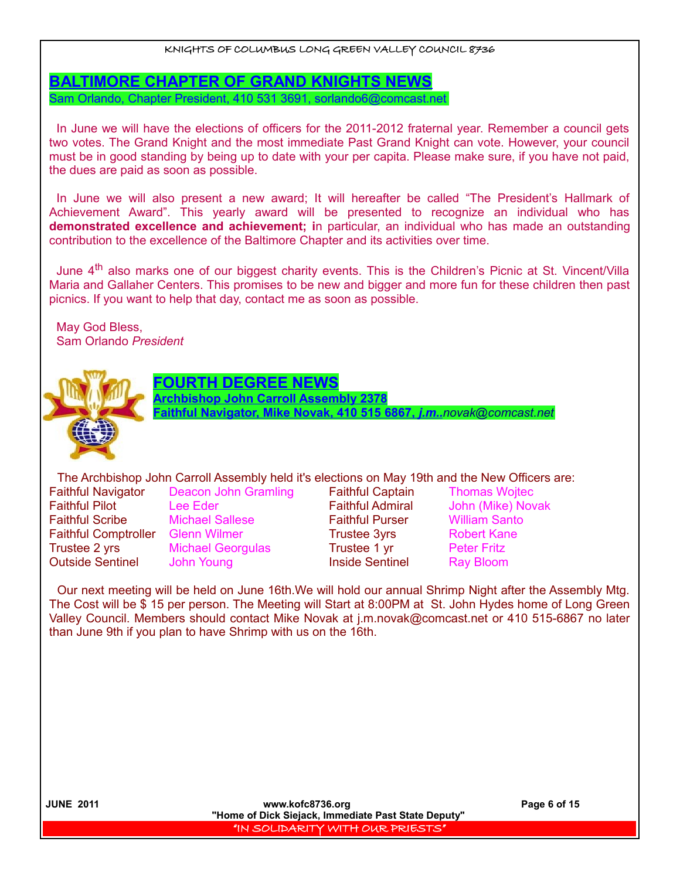**BALTIMORE CHAPTER OF GRAND KNIGHTS NEWS**

Sam Orlando, Chapter President, 410 531 3691, sorlando6@comcast.net

In June we will have the elections of officers for the 2011-2012 fraternal year. Remember a council gets two votes. The Grand Knight and the most immediate Past Grand Knight can vote. However, your council must be in good standing by being up to date with your per capita. Please make sure, if you have not paid, the dues are paid as soon as possible.

In June we will also present a new award; It will hereafter be called "The President's Hallmark of Achievement Award". This yearly award will be presented to recognize an individual who has **demonstrated excellence and achievement; i**n particular, an individual who has made an outstanding contribution to the excellence of the Baltimore Chapter and its activities over time.

June 4<sup>th</sup> also marks one of our biggest charity events. This is the Children's Picnic at St. Vincent/Villa Maria and Gallaher Centers. This promises to be new and bigger and more fun for these children then past picnics. If you want to help that day, contact me as soon as possible.

May God Bless, Sam Orlando *President*



### **DEGREE NEWS**

**Archbishop John Carroll Assembly 2378**

 **Faithful Navigator, Mike Novak, 410 515 6867,** *j.m..[novak@comcast.net](mailto:novak@comcast.net)*

The Archbishop John Carroll Assembly held it's elections on May 19th and the New Officers are:

Faithful Navigator Deacon John Gramling Faithful Captain Thomas Wojtec Faithful Pilot Lee Eder Faithful Admiral John (Mike) Novak Faithful Scribe Michael Sallese Faithful Purser William Santo Faithful Comptroller Glenn Wilmer **Trustee 3yrs** Robert Kane Trustee 2 yrs Michael Georgulas Trustee 1 yr Peter Fritz **Outside Sentinel** John Young **Inside Sentinel** Ray Bloom

Our next meeting will be held on June 16th.We will hold our annual Shrimp Night after the Assembly Mtg. The Cost will be \$ 15 per person. The Meeting will Start at 8:00PM at St. John Hydes home of Long Green Valley Council. Members should contact Mike Novak at j.m.novak@comcast.net or 410 515-6867 no later than June 9th if you plan to have Shrimp with us on the 16th.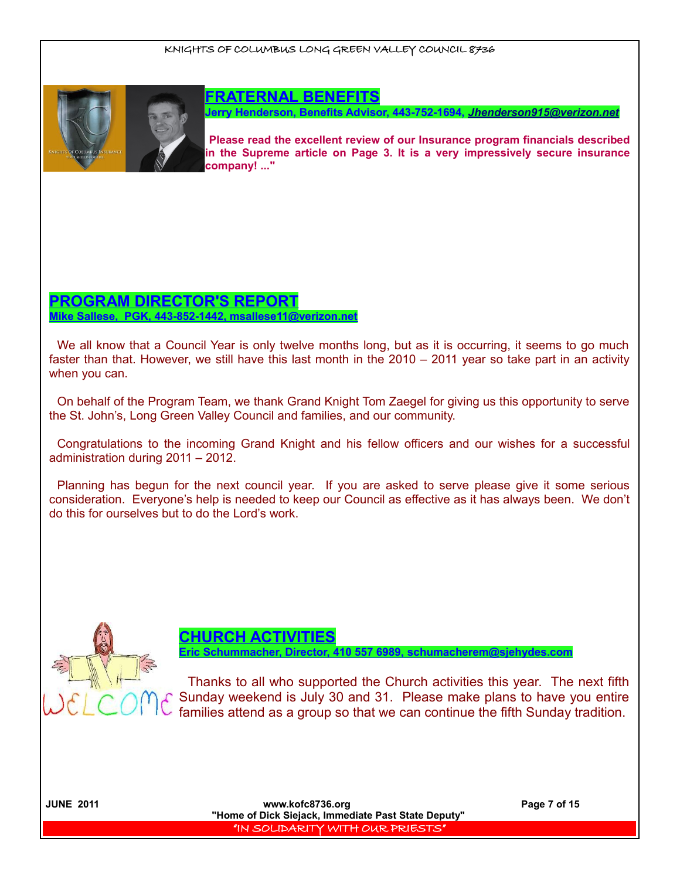

### **FRATERNAL BENEFITS**

**Jerry Henderson, Benefits Advisor, 443-752-1694,** *[Jhenderson915@verizon.net](mailto:Jhenderson915@verizon.net)*

**Please read the excellent review of our Insurance program financials described in the Supreme article on Page 3. It is a very impressively secure insurance company! ..."**

# **PROGRAM DIRECTOR'S REPORT Mike Sallese, PGK, 443-852-1442, msallese11@verizon.net**

We all know that a Council Year is only twelve months long, but as it is occurring, it seems to go much faster than that. However, we still have this last month in the 2010 – 2011 year so take part in an activity when you can.

On behalf of the Program Team, we thank Grand Knight Tom Zaegel for giving us this opportunity to serve the St. John's, Long Green Valley Council and families, and our community.

Congratulations to the incoming Grand Knight and his fellow officers and our wishes for a successful administration during 2011 – 2012.

Planning has begun for the next council year. If you are asked to serve please give it some serious consideration. Everyone's help is needed to keep our Council as effective as it has always been. We don't do this for ourselves but to do the Lord's work.



**CHURCH ACTIVITIES**

 **Eric Schummacher, Director, 410 557 6989, schumacherem@sjehydes.com**

Thanks to all who supported the Church activities this year. The next fifth Sunday weekend is July 30 and 31. Please make plans to have you entire families attend as a group so that we can continue the fifth Sunday tradition.

 **JUNE 2011 www.kofc8736.org Page 7 of 15 "Home of Dick Siejack, Immediate Past State Deputy"**  "IN SOLIDARITY WITH OUR PRIESTS"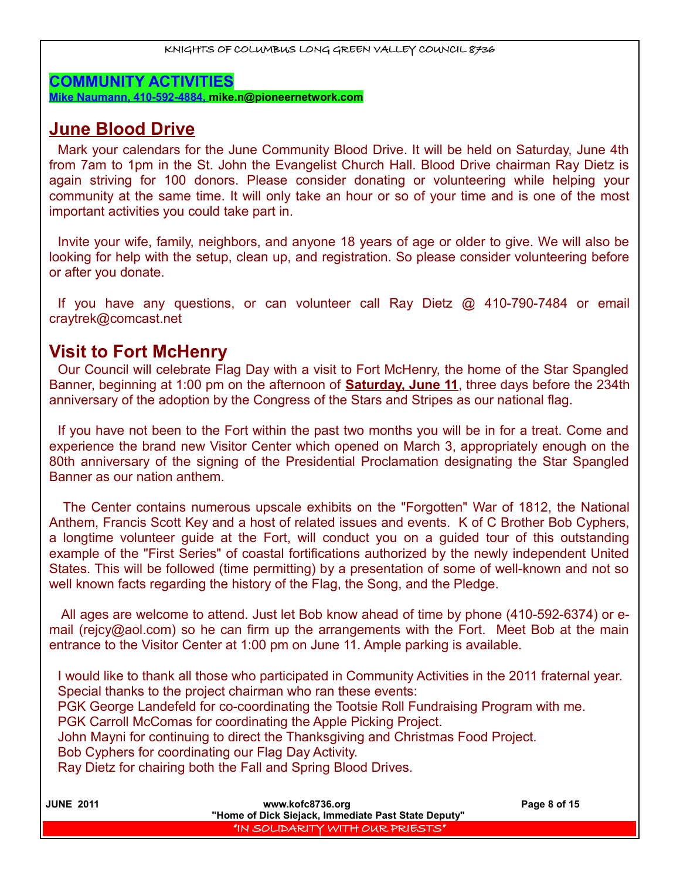**COMMUNITY ACTIVITIES**

**Mike Naumann, 410-592-4884, mike.n@pioneernetwork.com**

# **June Blood Drive**

Mark your calendars for the June Community Blood Drive. It will be held on Saturday, June 4th from 7am to 1pm in the St. John the Evangelist Church Hall. Blood Drive chairman Ray Dietz is again striving for 100 donors. Please consider donating or volunteering while helping your community at the same time. It will only take an hour or so of your time and is one of the most important activities you could take part in.

Invite your wife, family, neighbors, and anyone 18 years of age or older to give. We will also be looking for help with the setup, clean up, and registration. So please consider volunteering before or after you donate.

If you have any questions, or can volunteer call Ray Dietz @ 410-790-7484 or email craytrek@comcast.net

# **Visit to Fort McHenry**

Our Council will celebrate Flag Day with a visit to Fort McHenry, the home of the Star Spangled Banner, beginning at 1:00 pm on the afternoon of **Saturday, June 11**, three days before the 234th anniversary of the adoption by the Congress of the Stars and Stripes as our national flag.

If you have not been to the Fort within the past two months you will be in for a treat. Come and experience the brand new Visitor Center which opened on March 3, appropriately enough on the 80th anniversary of the signing of the Presidential Proclamation designating the Star Spangled Banner as our nation anthem.

 The Center contains numerous upscale exhibits on the "Forgotten" War of 1812, the National Anthem, Francis Scott Key and a host of related issues and events. K of C Brother Bob Cyphers, a longtime volunteer guide at the Fort, will conduct you on a guided tour of this outstanding example of the "First Series" of coastal fortifications authorized by the newly independent United States. This will be followed (time permitting) by a presentation of some of well-known and not so well known facts regarding the history of the Flag, the Song, and the Pledge.

 All ages are welcome to attend. Just let Bob know ahead of time by phone (410-592-6374) or email (rejcy@aol.com) so he can firm up the arrangements with the Fort. Meet Bob at the main entrance to the Visitor Center at 1:00 pm on June 11. Ample parking is available.

I would like to thank all those who participated in Community Activities in the 2011 fraternal year. Special thanks to the project chairman who ran these events: PGK George Landefeld for co-coordinating the Tootsie Roll Fundraising Program with me. PGK Carroll McComas for coordinating the Apple Picking Project. John Mayni for continuing to direct the Thanksgiving and Christmas Food Project. Bob Cyphers for coordinating our Flag Day Activity. Ray Dietz for chairing both the Fall and Spring Blood Drives.

| <b>JUNE 2011</b> | www.kofc8736.org                                    | Page 8 of 15 |
|------------------|-----------------------------------------------------|--------------|
|                  | "Home of Dick Siejack, Immediate Past State Deputy" |              |
|                  | I "IN SOLIDARITY WITH OUR PRIESTS" I                |              |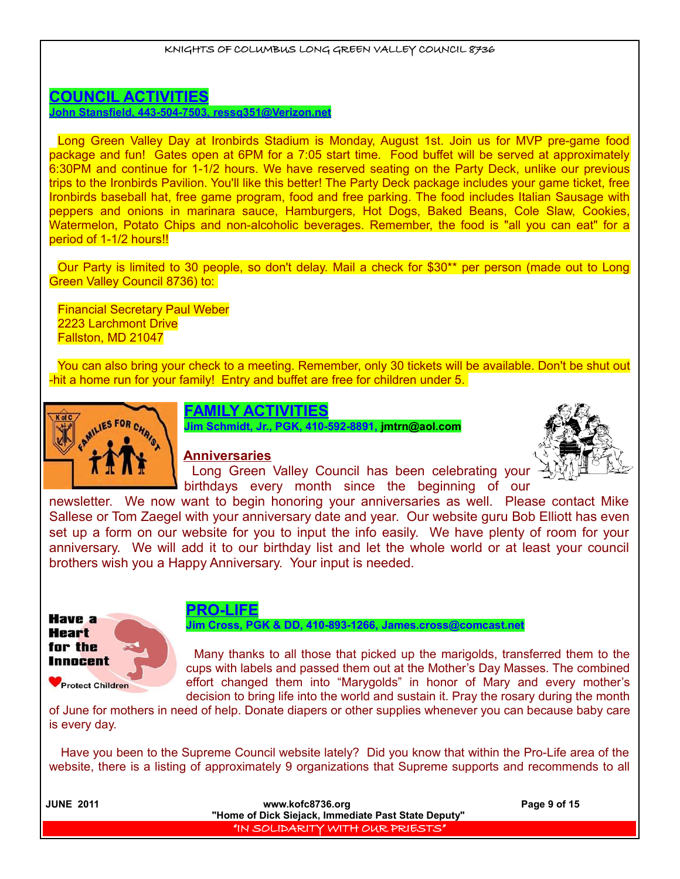### **COUNCIL ACTIVITIES John Stansfield, 443-504-7503, ressq351@Verizon.net**

Long Green Valley Day at Ironbirds Stadium is Monday, August 1st. Join us for MVP pre-game food package and fun! Gates open at 6PM for a 7:05 start time. Food buffet will be served at approximately 6:30PM and continue for 1-1/2 hours. We have reserved seating on the Party Deck, unlike our previous trips to the Ironbirds Pavilion. You'll like this better! The Party Deck package includes your game ticket, free Ironbirds baseball hat, free game program, food and free parking. The food includes Italian Sausage with peppers and onions in marinara sauce, Hamburgers, Hot Dogs, Baked Beans, Cole Slaw, Cookies, Watermelon, Potato Chips and non-alcoholic beverages. Remember, the food is "all you can eat" for a period of 1-1/2 hours!!

Our Party is limited to 30 people, so don't delay. Mail a check for \$30\*\* per person (made out to Long Green Valley Council 8736) to:

Financial Secretary Paul Weber 2223 Larchmont Drive Fallston, MD 21047

You can also bring your check to a meeting. Remember, only 30 tickets will be available. Don't be shut out -hit a home run for your family! Entry and buffet are free for children under 5.



# **FAMILY ACTIVITIES**

**Jim Schmidt, Jr., PGK, 410-592-8891, jmtrn@aol.com**

### **Anniversaries**



Long Green Valley Council has been celebrating your birthdays every month since the beginning of our

newsletter. We now want to begin honoring your anniversaries as well. Please contact Mike Sallese or Tom Zaegel with your anniversary date and year. Our website guru Bob Elliott has even set up a form on our website for you to input the info easily. We have plenty of room for your anniversary. We will add it to our birthday list and let the whole world or at least your council brothers wish you a Happy Anniversary. Your input is needed.



# **PRO-LIFE**

### **Jim Cross, PGK & DD, 410-893-1266, [James.cross@comcast.net](mailto:James.cross@comcast.net)**

Many thanks to all those that picked up the marigolds, transferred them to the cups with labels and passed them out at the Mother's Day Masses. The combined effort changed them into "Marygolds" in honor of Mary and every mother's decision to bring life into the world and sustain it. Pray the rosary during the month

of June for mothers in need of help. Donate diapers or other supplies whenever you can because baby care is every day.

 Have you been to the Supreme Council website lately? Did you know that within the Pro-Life area of the website, there is a listing of approximately 9 organizations that Supreme supports and recommends to all

| <b>JUNE 2011</b> | Page 9 of 15                         |  |
|------------------|--------------------------------------|--|
|                  | I "IN SOLIDARITY WITH OUR PRIESTS" I |  |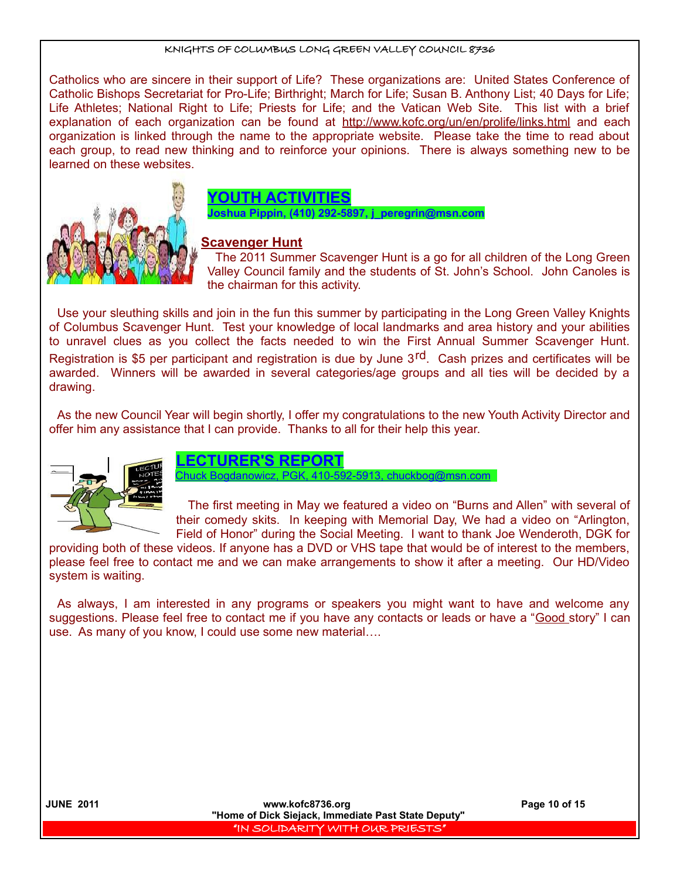Catholics who are sincere in their support of Life? These organizations are: United States Conference of Catholic Bishops Secretariat for Pro-Life; Birthright; March for Life; Susan B. Anthony List; 40 Days for Life; Life Athletes; National Right to Life; Priests for Life; and the Vatican Web Site. This list with a brief explanation of each organization can be found at http://www.kofc.org/un/en/prolife/links.html and each organization is linked through the name to the appropriate website. Please take the time to read about each group, to read new thinking and to reinforce your opinions. There is always something new to be learned on these websites.



# **YOUTH ACTIVITIES**

**Joshua Pippin, (410) 292-5897, j\_peregrin@msn.com**

### **Scavenger Hunt**

The 2011 Summer Scavenger Hunt is a go for all children of the Long Green Valley Council family and the students of St. John's School. John Canoles is the chairman for this activity.

Use your sleuthing skills and join in the fun this summer by participating in the Long Green Valley Knights of Columbus Scavenger Hunt. Test your knowledge of local landmarks and area history and your abilities to unravel clues as you collect the facts needed to win the First Annual Summer Scavenger Hunt. Registration is \$5 per participant and registration is due by June 3<sup>rd</sup>. Cash prizes and certificates will be awarded. Winners will be awarded in several categories/age groups and all ties will be decided by a drawing.

As the new Council Year will begin shortly, I offer my congratulations to the new Youth Activity Director and offer him any assistance that I can provide. Thanks to all for their help this year.



# **LECTURER'S REPORT**

huck Bogdanowicz, PGK, 410-592-5913, chuckbog@msn.com

The first meeting in May we featured a video on "Burns and Allen" with several of their comedy skits. In keeping with Memorial Day, We had a video on "Arlington, Field of Honor" during the Social Meeting. I want to thank Joe Wenderoth, DGK for

providing both of these videos. If anyone has a DVD or VHS tape that would be of interest to the members, please feel free to contact me and we can make arrangements to show it after a meeting. Our HD/Video system is waiting.

As always, I am interested in any programs or speakers you might want to have and welcome any suggestions. Please feel free to contact me if you have any contacts or leads or have a "Good story" I can use. As many of you know, I could use some new material….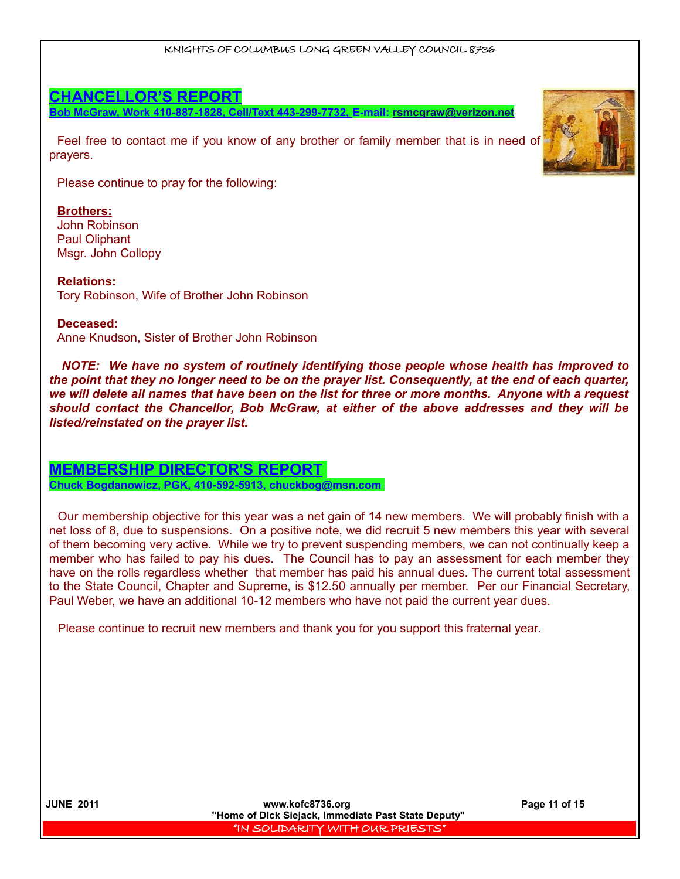# **CHANCELLOR'S REPORT**

**Bob McGraw, Work 410-887-1828, Cell/Text 443-299-7732, E-mail: [rsmcgraw@verizon.net](mailto:rsmcgraw@verizon.net)**

Feel free to contact me if you know of any brother or family member that is in need of prayers.

Please continue to pray for the following:

### **Brothers:**

John Robinson Paul Oliphant Msgr. John Collopy

**Relations:** Tory Robinson, Wife of Brother John Robinson

### **Deceased:**

Anne Knudson, Sister of Brother John Robinson

*NOTE: We have no system of routinely identifying those people whose health has improved to the point that they no longer need to be on the prayer list. Consequently, at the end of each quarter, we will delete all names that have been on the list for three or more months. Anyone with a request should contact the Chancellor, Bob McGraw, at either of the above addresses and they will be listed/reinstated on the prayer list.* 

# **MEMBERSHIP DIRECTOR'S REPORT**

**Chuck Bogdanowicz, PGK, 410-592-5913, chuckbog@msn.com** 

Our membership objective for this year was a net gain of 14 new members. We will probably finish with a net loss of 8, due to suspensions. On a positive note, we did recruit 5 new members this year with several of them becoming very active. While we try to prevent suspending members, we can not continually keep a member who has failed to pay his dues. The Council has to pay an assessment for each member they have on the rolls regardless whether that member has paid his annual dues. The current total assessment to the State Council, Chapter and Supreme, is \$12.50 annually per member. Per our Financial Secretary, Paul Weber, we have an additional 10-12 members who have not paid the current year dues.

Please continue to recruit new members and thank you for you support this fraternal year.

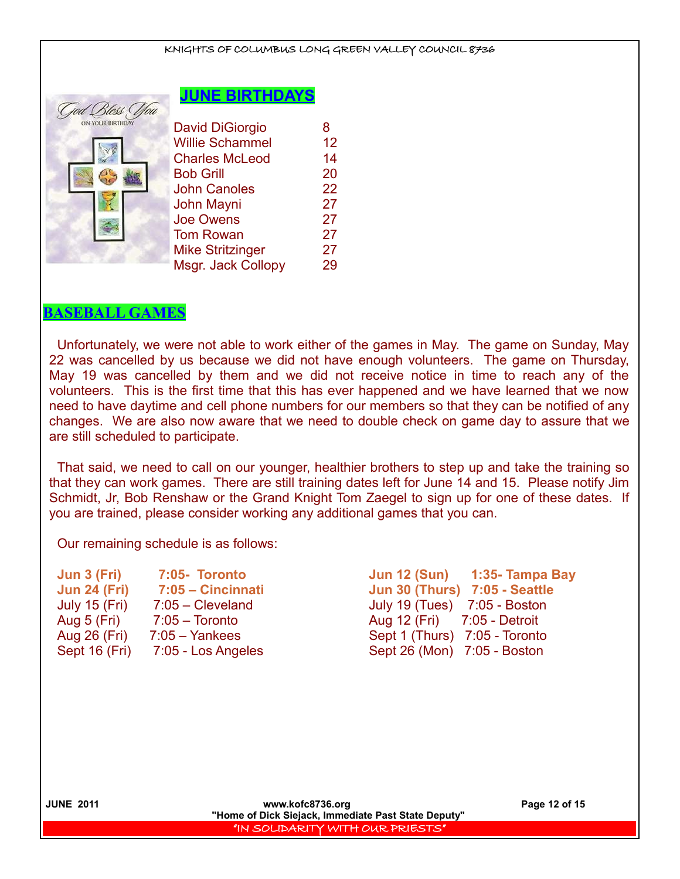### **JUNE BIRTHDAYS**

| Duss v           |                         |    |
|------------------|-------------------------|----|
| ON YOUR BIRTHDAY | <b>David DiGiorgio</b>  | 8  |
|                  | <b>Willie Schammel</b>  | 12 |
|                  | <b>Charles McLeod</b>   | 14 |
|                  | <b>Bob Grill</b>        | 20 |
|                  | <b>John Canoles</b>     | 22 |
|                  | John Mayni              | 27 |
|                  | <b>Joe Owens</b>        | 27 |
|                  | <b>Tom Rowan</b>        | 27 |
|                  | <b>Mike Stritzinger</b> | 27 |
|                  | Msgr. Jack Collopy      | 29 |
|                  |                         |    |

### **BASEBALL GAMES**

 $T101.70$ 

Unfortunately, we were not able to work either of the games in May. The game on Sunday, May 22 was cancelled by us because we did not have enough volunteers. The game on Thursday, May 19 was cancelled by them and we did not receive notice in time to reach any of the volunteers. This is the first time that this has ever happened and we have learned that we now need to have daytime and cell phone numbers for our members so that they can be notified of any changes. We are also now aware that we need to double check on game day to assure that we are still scheduled to participate.

That said, we need to call on our younger, healthier brothers to step up and take the training so that they can work games. There are still training dates left for June 14 and 15. Please notify Jim Schmidt, Jr, Bob Renshaw or the Grand Knight Tom Zaegel to sign up for one of these dates. If you are trained, please consider working any additional games that you can.

Our remaining schedule is as follows:

| Jun 3 (Fri)          | 7:05- Toronto      |
|----------------------|--------------------|
| <b>Jun 24 (Fri)</b>  | 7:05 - Cincinnati  |
| <b>July 15 (Fri)</b> | $7:05$ - Cleveland |
| Aug 5 (Fri)          | $7:05 - Toronto$   |
| Aug 26 (Fri)         | $7:05 - Yankees$   |
| Sept 16 (Fri)        | 7:05 - Los Angeles |
|                      |                    |

**Jun 3 (Fri) 7:05- Toronto Jun 12 (Sun) 1:35- Tampa Bay Jun 24 (Fri) 7:05 – Cincinnati Jun 30 (Thurs) 7:05 - Seattle** July 19 (Tues) 7:05 - Boston Aug 12 (Fri) 7:05 - Detroit Sept 1 (Thurs) 7:05 - Toronto Sept 26 (Mon) 7:05 - Boston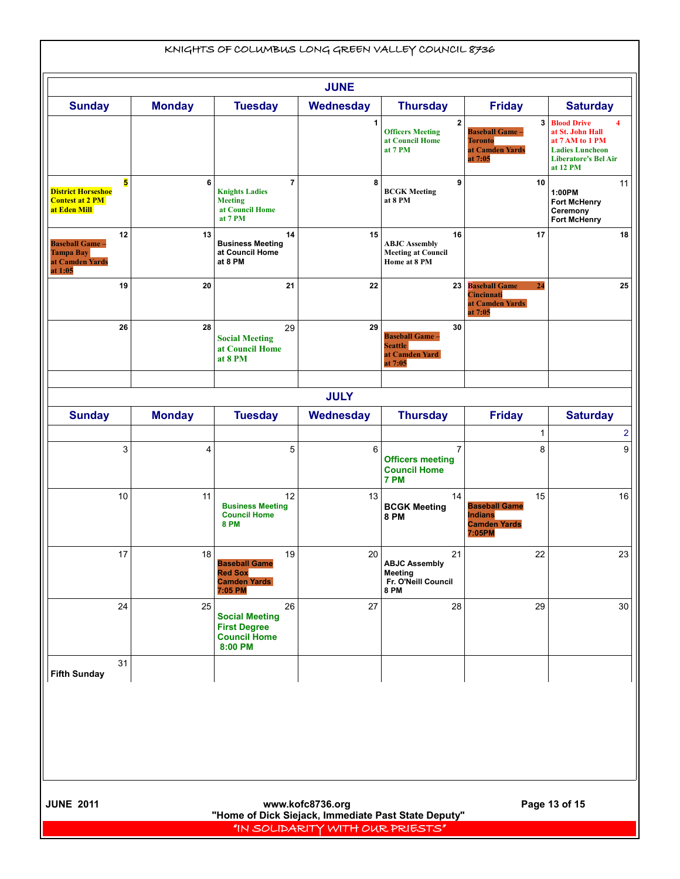| KNIGHTS OF COLUMBUS LONG GREEN VALLEY COUNCIL 8736                            |                                                                                         |                                                                                         |                  |                                                                             |                                                                               |                                                                                                                                       |
|-------------------------------------------------------------------------------|-----------------------------------------------------------------------------------------|-----------------------------------------------------------------------------------------|------------------|-----------------------------------------------------------------------------|-------------------------------------------------------------------------------|---------------------------------------------------------------------------------------------------------------------------------------|
| <b>JUNE</b>                                                                   |                                                                                         |                                                                                         |                  |                                                                             |                                                                               |                                                                                                                                       |
| <b>Sunday</b>                                                                 | <b>Monday</b>                                                                           | <b>Tuesday</b>                                                                          | <b>Wednesday</b> | <b>Thursday</b>                                                             | <b>Friday</b>                                                                 | <b>Saturday</b>                                                                                                                       |
|                                                                               |                                                                                         |                                                                                         | 1                | $\overline{2}$<br><b>Officers Meeting</b><br>at Council Home<br>at 7 PM     | <b>Baseball Game -</b><br><b>Toronto</b><br>at Camden Yards<br>at 7:05        | <b>3 Blood Drive</b><br>4<br>at St. John Hall<br>at 7 AM to 1 PM<br><b>Ladies Luncheon</b><br><b>Liberatore's Bel Air</b><br>at 12 PM |
| 5<br><b>District Horseshoe</b><br><b>Contest at 2 PM</b><br>at Eden Mill      | 6                                                                                       | $\overline{7}$<br><b>Knights Ladies</b><br><b>Meeting</b><br>at Council Home<br>at 7 PM | 8                | 9<br><b>BCGK Meeting</b><br>at 8 PM                                         | 10                                                                            | 11<br>1:00PM<br><b>Fort McHenry</b><br>Ceremony<br><b>Fort McHenry</b>                                                                |
| 12<br><b>Baseball Game-</b><br><b>Tampa Bay</b><br>at Camden Yards<br>at 1:05 | 13                                                                                      | 14<br><b>Business Meeting</b><br>at Council Home<br>at 8 PM                             | 15               | 16<br><b>ABJC</b> Assembly<br><b>Meeting at Council</b><br>Home at 8 PM     | 17                                                                            | 18                                                                                                                                    |
| 19                                                                            | 20                                                                                      | 21                                                                                      | 22               |                                                                             | 23 Baseball Game<br>24<br>Cincinnati<br>at Camden Yards<br>at 7:05            | 25                                                                                                                                    |
| 26                                                                            | 28                                                                                      | 29<br><b>Social Meeting</b><br>at Council Home<br>at 8 PM                               | 29               | 30<br><b>Baseball Game -</b><br><b>Seattle</b><br>at Camden Yard<br>at 7:05 |                                                                               |                                                                                                                                       |
|                                                                               |                                                                                         |                                                                                         | <b>JULY</b>      |                                                                             |                                                                               |                                                                                                                                       |
| <b>Sunday</b>                                                                 | <b>Monday</b>                                                                           | <b>Tuesday</b>                                                                          | <b>Wednesday</b> | <b>Thursday</b>                                                             | <b>Friday</b>                                                                 | <b>Saturday</b>                                                                                                                       |
| 3                                                                             | 4                                                                                       | 5                                                                                       | 6                | $\overline{7}$<br><b>Officers meeting</b><br><b>Council Home</b><br>7 PM    | 1<br>8                                                                        | 2<br>9                                                                                                                                |
| 10                                                                            | 11                                                                                      | 12<br><b>Business Meeting</b><br><b>Council Home</b><br><b>8 PM</b>                     | 13               | 14<br><b>BCGK Meeting</b><br><b>8 PM</b>                                    | 15<br><b>Baseball Game</b><br><b>Indians</b><br><b>Camden Yards</b><br>7:05PM | 16                                                                                                                                    |
| 17                                                                            | 18                                                                                      | 19<br><b>Baseball Game</b><br><b>Red Sox</b><br><b>Camden Yards</b><br>7:05 PM          | 20               | 21<br><b>ABJC Assembly</b><br>Meeting<br>Fr. O'Neill Council<br><b>8 PM</b> | 22                                                                            | 23                                                                                                                                    |
| 24                                                                            | 25                                                                                      | 26<br><b>Social Meeting</b><br><b>First Degree</b><br><b>Council Home</b><br>8:00 PM    | 27               | 28                                                                          | 29                                                                            | 30                                                                                                                                    |
| 31<br><b>Fifth Sunday</b>                                                     |                                                                                         |                                                                                         |                  |                                                                             |                                                                               |                                                                                                                                       |
| <b>JUNE 2011</b><br>Page 13 of 15<br>www.kofc8736.org                         |                                                                                         |                                                                                         |                  |                                                                             |                                                                               |                                                                                                                                       |
|                                                                               | "Home of Dick Siejack, Immediate Past State Deputy"<br>"IN SOLIDARITY WITH OUR PRIESTS" |                                                                                         |                  |                                                                             |                                                                               |                                                                                                                                       |

 $\overline{\phantom{a}}$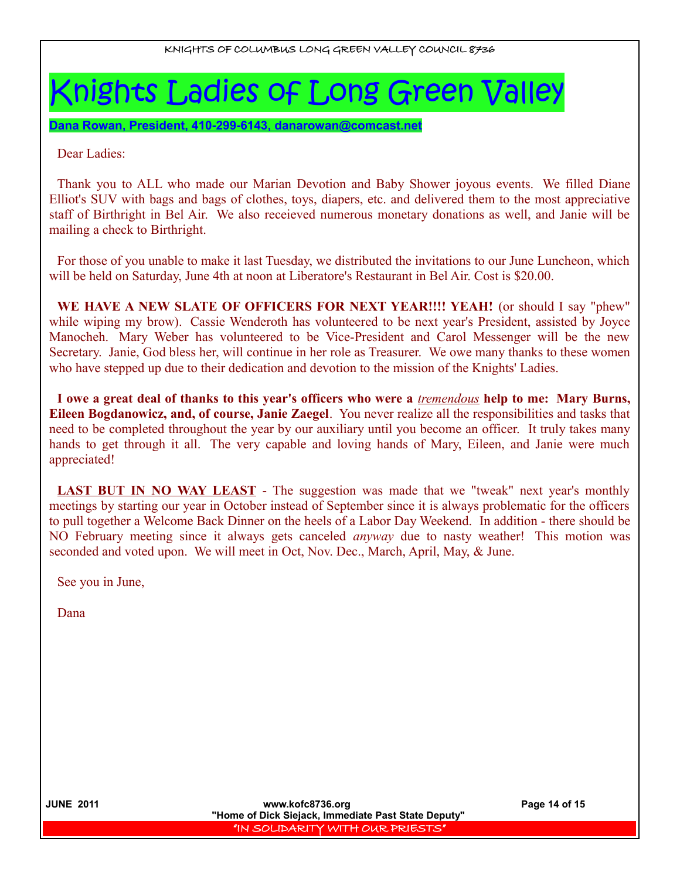# Knights Ladies of Long Green Valley

 **Dana Rowan, President, 410-299-6143, [danarowan@comcast.net](mailto:danarowan@comcast.net)**

Dear Ladies:

Thank you to ALL who made our Marian Devotion and Baby Shower joyous events. We filled Diane Elliot's SUV with bags and bags of clothes, toys, diapers, etc. and delivered them to the most appreciative staff of Birthright in Bel Air. We also receieved numerous monetary donations as well, and Janie will be mailing a check to Birthright.

For those of you unable to make it last Tuesday, we distributed the invitations to our June Luncheon, which will be held on Saturday, June 4th at noon at Liberatore's Restaurant in Bel Air. Cost is \$20.00.

**WE HAVE A NEW SLATE OF OFFICERS FOR NEXT YEAR!!!! YEAH!** (or should I say "phew" while wiping my brow). Cassie Wenderoth has volunteered to be next year's President, assisted by Joyce Manocheh. Mary Weber has volunteered to be Vice-President and Carol Messenger will be the new Secretary. Janie, God bless her, will continue in her role as Treasurer. We owe many thanks to these women who have stepped up due to their dedication and devotion to the mission of the Knights' Ladies.

**I owe a great deal of thanks to this year's officers who were a** *tremendous* **help to me: Mary Burns, Eileen Bogdanowicz, and, of course, Janie Zaegel**. You never realize all the responsibilities and tasks that need to be completed throughout the year by our auxiliary until you become an officer. It truly takes many hands to get through it all. The very capable and loving hands of Mary, Eileen, and Janie were much appreciated!

**LAST BUT IN NO WAY LEAST** - The suggestion was made that we "tweak" next year's monthly meetings by starting our year in October instead of September since it is always problematic for the officers to pull together a Welcome Back Dinner on the heels of a Labor Day Weekend. In addition - there should be NO February meeting since it always gets canceled *anyway* due to nasty weather! This motion was seconded and voted upon. We will meet in Oct, Nov. Dec., March, April, May, & June.

See you in June,

Dana